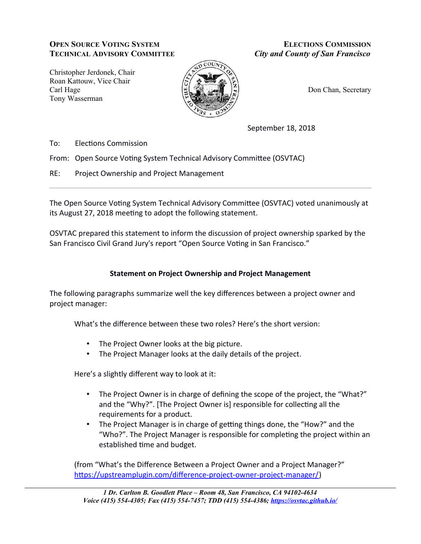## **OPEN SOURCE VOTING SYSTEM TECHNICAL ADVISORY COMMITTEE**

**ELECTIONS COMMISSION City and County of San Francisco** 

Christopher Jerdonek, Chair Roan Kattouw, Vice Chair Carl Hage Tony Wasserman



Don Chan, Secretary

September 18, 2018

To: **Elections Commission** 

From: Open Source Voting System Technical Advisory Committee (OSVTAC)

 $RE:$ Project Ownership and Project Management

The Open Source Voting System Technical Advisory Committee (OSVTAC) voted unanimously at its August 27, 2018 meeting to adopt the following statement.

OSVTAC prepared this statement to inform the discussion of project ownership sparked by the San Francisco Civil Grand Jury's report "Open Source Voting in San Francisco."

## **Statement on Project Ownership and Project Management**

The following paragraphs summarize well the key differences between a project owner and project manager:

What's the difference between these two roles? Here's the short version:

- The Project Owner looks at the big picture.
- The Project Manager looks at the daily details of the project.

Here's a slightly different way to look at it:

- The Project Owner is in charge of defining the scope of the project, the "What?" and the "Why?". [The Project Owner is] responsible for collecting all the requirements for a product.
- $\bullet$  . The Project Manager is in charge of getting things done, the "How?" and the "Who?". The Project Manager is responsible for completing the project within an established time and budget.

(from "What's the Difference Between a Project Owner and a Project Manager?" https://upstreamplugin.com/difference-project-owner-project-manager/)